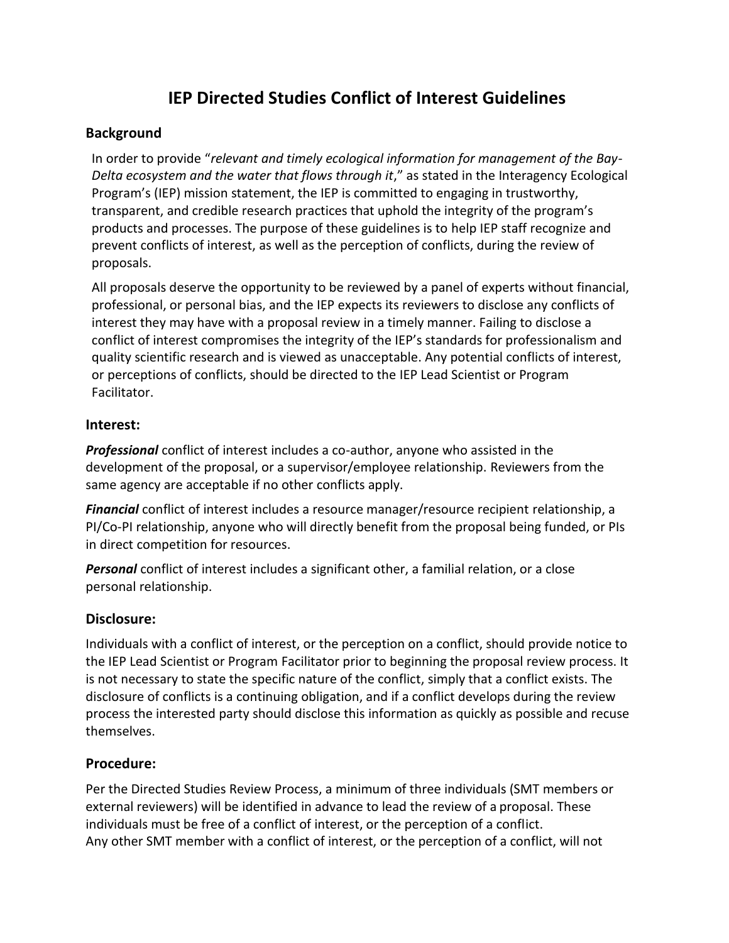# **IEP Directed Studies Conflict of Interest Guidelines**

## **Background**

In order to provide "*relevant and timely ecological information for management of the Bay-*Delta ecosystem and the water that flows through it," as stated in the Interagency Ecological Program's (IEP) mission statement, the IEP is committed to engaging in trustworthy, transparent, and credible research practices that uphold the integrity of the program's products and processes. The purpose of these guidelines is to help IEP staff recognize and prevent conflicts of interest, as well as the perception of conflicts, during the review of proposals.

All proposals deserve the opportunity to be reviewed by a panel of experts without financial, professional, or personal bias, and the IEP expects its reviewers to disclose any conflicts of interest they may have with a proposal review in a timely manner. Failing to disclose a conflict of interest compromises the integrity of the IEP's standards for professionalism and quality scientific research and is viewed as unacceptable. Any potential conflicts of interest, or perceptions of conflicts, should be directed to the IEP Lead Scientist or Program Facilitator.

## **Interest:**

*Professional* conflict of interest includes a co-author, anyone who assisted in the development of the proposal, or a supervisor/employee relationship. Reviewers from the same agency are acceptable if no other conflicts apply.

*Financial* conflict of interest includes a resource manager/resource recipient relationship, a PI/Co-PI relationship, anyone who will directly benefit from the proposal being funded, or PIs in direct competition for resources.

*Personal* conflict of interest includes a significant other, a familial relation, or a close personal relationship.

## **Disclosure:**

Individuals with a conflict of interest, or the perception on a conflict, should provide notice to the IEP Lead Scientist or Program Facilitator prior to beginning the proposal review process. It is not necessary to state the specific nature of the conflict, simply that a conflict exists. The disclosure of conflicts is a continuing obligation, and if a conflict develops during the review process the interested party should disclose this information as quickly as possible and recuse themselves.

## **Procedure:**

Per the Directed Studies Review Process, a minimum of three individuals (SMT members or external reviewers) will be identified in advance to lead the review of a proposal. These individuals must be free of a conflict of interest, or the perception of a conflict. Any other SMT member with a conflict of interest, or the perception of a conflict, will not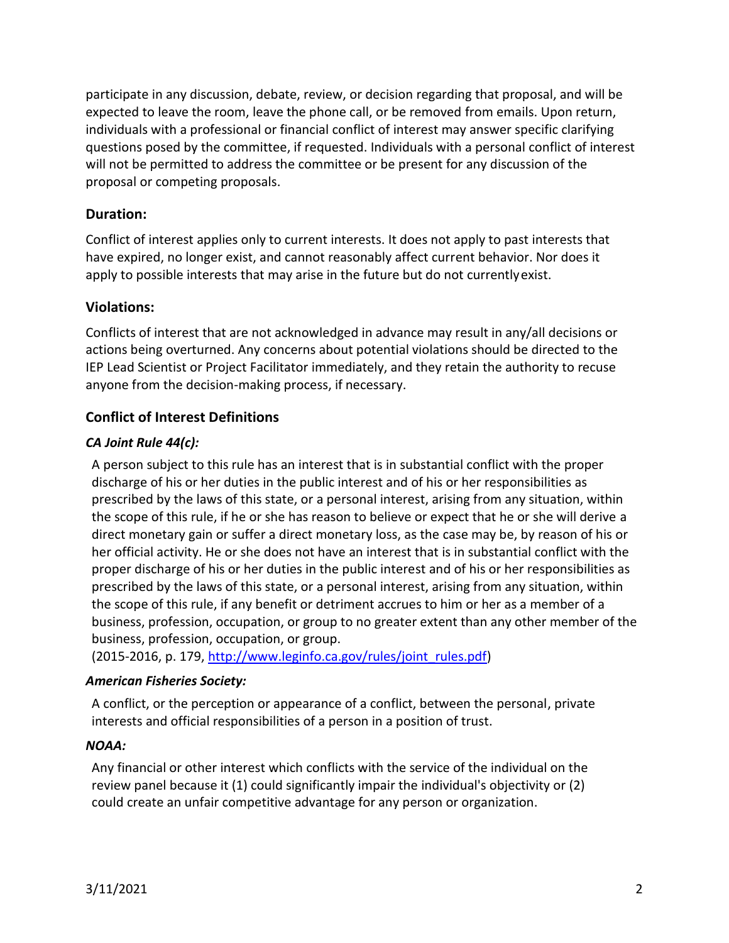participate in any discussion, debate, review, or decision regarding that proposal, and will be expected to leave the room, leave the phone call, or be removed from emails. Upon return, individuals with a professional or financial conflict of interest may answer specific clarifying questions posed by the committee, if requested. Individuals with a personal conflict of interest will not be permitted to address the committee or be present for any discussion of the proposal or competing proposals.

## **Duration:**

Conflict of interest applies only to current interests. It does not apply to past interests that have expired, no longer exist, and cannot reasonably affect current behavior. Nor does it apply to possible interests that may arise in the future but do not currentlyexist.

## **Violations:**

Conflicts of interest that are not acknowledged in advance may result in any/all decisions or actions being overturned. Any concerns about potential violations should be directed to the IEP Lead Scientist or Project Facilitator immediately, and they retain the authority to recuse anyone from the decision-making process, if necessary.

## **Conflict of Interest Definitions**

## *CA Joint Rule 44(c):*

A person subject to this rule has an interest that is in substantial conflict with the proper discharge of his or her duties in the public interest and of his or her responsibilities as prescribed by the laws of this state, or a personal interest, arising from any situation, within the scope of this rule, if he or she has reason to believe or expect that he or she will derive a direct monetary gain or suffer a direct monetary loss, as the case may be, by reason of his or her official activity. He or she does not have an interest that is in substantial conflict with the proper discharge of his or her duties in the public interest and of his or her responsibilities as prescribed by the laws of this state, or a personal interest, arising from any situation, within the scope of this rule, if any benefit or detriment accrues to him or her as a member of a business, profession, occupation, or group to no greater extent than any other member of the business, profession, occupation, or group.

(2015-2016, p. 179[, http://www.leginfo.ca.gov/rules/joint\\_rules.pdf\)](http://www.leginfo.ca.gov/rules/joint_rules.pdf)

## *American Fisheries Society:*

A conflict, or the perception or appearance of a conflict, between the personal, private interests and official responsibilities of a person in a position of trust.

#### *NOAA:*

Any financial or other interest which conflicts with the service of the individual on the review panel because it (1) could significantly impair the individual's objectivity or (2) could create an unfair competitive advantage for any person or organization.